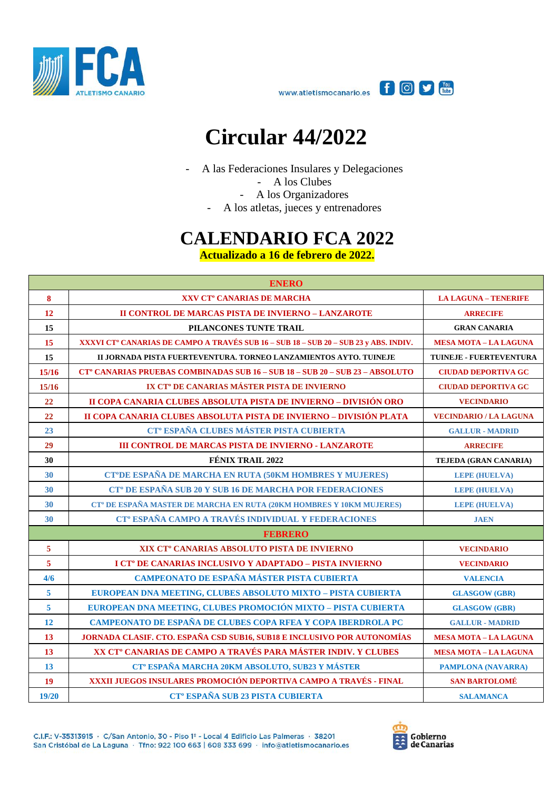



## **Circular 44/2022**

- A las Federaciones Insulares y Delegaciones

- A los Clubes
- A los Organizadores
- A los atletas, jueces y entrenadores

## **CALENDARIO FCA 2022**

**Actualizado a 16 de febrero de 2022.**

|                         | <b>ENERO</b>                                                                                     |                               |
|-------------------------|--------------------------------------------------------------------------------------------------|-------------------------------|
| $\bf{8}$                | XXV CT <sup>°</sup> CANARIAS DE MARCHA                                                           | <b>LA LAGUNA - TENERIFE</b>   |
| 12                      | <b>II CONTROL DE MARCAS PISTA DE INVIERNO - LANZAROTE</b>                                        | <b>ARRECIFE</b>               |
| 15                      | PILANCONES TUNTE TRAIL                                                                           | <b>GRAN CANARIA</b>           |
| 15                      | XXXVI CT <sup>°</sup> CANARIAS DE CAMPO A TRAVÉS SUB 16 – SUB 18 – SUB 20 – SUB 23 y ABS. INDIV. | <b>MESA MOTA - LA LAGUNA</b>  |
| 15                      | II JORNADA PISTA FUERTEVENTURA. TORNEO LANZAMIENTOS AYTO. TUINEJE                                | TUINEJE - FUERTEVENTURA       |
| 15/16                   | CT° CANARIAS PRUEBAS COMBINADAS SUB 16 – SUB 18 – SUB 20 – SUB 23 – ABSOLUTO                     | <b>CIUDAD DEPORTIVA GC</b>    |
| 15/16                   | IX CT <sup>°</sup> DE CANARIAS MÁSTER PISTA DE INVIERNO                                          | <b>CIUDAD DEPORTIVA GC</b>    |
| 22                      | II COPA CANARIA CLUBES ABSOLUTA PISTA DE INVIERNO – DIVISIÓN ORO                                 | <b>VECINDARIO</b>             |
| 22                      | II COPA CANARIA CLUBES ABSOLUTA PISTA DE INVIERNO - DIVISIÓN PLATA                               | <b>VECINDARIO / LA LAGUNA</b> |
| 23                      | CT <sup>°</sup> ESPAÑA CLUBES MÁSTER PISTA CUBIERTA                                              | <b>GALLUR - MADRID</b>        |
| 29                      | <b>III CONTROL DE MARCAS PISTA DE INVIERNO - LANZAROTE</b>                                       | <b>ARRECIFE</b>               |
| 30                      | FÉNIX TRAIL 2022                                                                                 | TEJEDA (GRAN CANARIA)         |
| 30                      | CT°DE ESPAÑA DE MARCHA EN RUTA (50KM HOMBRES Y MUJERES)                                          | <b>LEPE (HUELVA)</b>          |
| 30                      | CT <sup>°</sup> DE ESPAÑA SUB 20 Y SUB 16 DE MARCHA POR FEDERACIONES                             | <b>LEPE (HUELVA)</b>          |
| 30                      | CT <sup>°</sup> DE ESPAÑA MASTER DE MARCHA EN RUTA (20KM HOMBRES Y 10KM MUJERES)                 | <b>LEPE (HUELVA)</b>          |
| 30                      | CT <sup>°</sup> ESPAÑA CAMPO A TRAVÉS INDIVIDUAL Y FEDERACIONES                                  | <b>JAEN</b>                   |
|                         | <b>FEBRERO</b>                                                                                   |                               |
| 5                       | XIX CT <sup>°</sup> CANARIAS ABSOLUTO PISTA DE INVIERNO                                          | <b>VECINDARIO</b>             |
| $\overline{\mathbf{5}}$ | I CT <sup>°</sup> DE CANARIAS INCLUSIVO Y ADAPTADO - PISTA INVIERNO                              | <b>VECINDARIO</b>             |
| 4/6                     | CAMPEONATO DE ESPAÑA MÁSTER PISTA CUBIERTA                                                       | <b>VALENCIA</b>               |
| 5                       | EUROPEAN DNA MEETING, CLUBES ABSOLUTO MIXTO - PISTA CUBIERTA                                     | <b>GLASGOW (GBR)</b>          |
| 5                       | EUROPEAN DNA MEETING, CLUBES PROMOCIÓN MIXTO - PISTA CUBIERTA                                    | <b>GLASGOW (GBR)</b>          |
| 12                      | CAMPEONATO DE ESPAÑA DE CLUBES COPA RFEA Y COPA IBERDROLA PC                                     | <b>GALLUR - MADRID</b>        |
| 13                      | JORNADA CLASIF. CTO. ESPAÑA CSD SUB16, SUB18 E INCLUSIVO POR AUTONOMÍAS                          | <b>MESA MOTA - LA LAGUNA</b>  |
| 13                      | XX CT <sup>°</sup> CANARIAS DE CAMPO A TRAVÉS PARA MÁSTER INDIV. Y CLUBES                        | <b>MESA MOTA - LA LAGUNA</b>  |
| 13                      | CT <sup>°</sup> ESPAÑA MARCHA 20KM ABSOLUTO, SUB23 Y MÁSTER                                      | <b>PAMPLONA (NAVARRA)</b>     |
| <b>19</b>               | XXXII JUEGOS INSULARES PROMOCIÓN DEPORTIVA CAMPO A TRAVÉS - FINAL                                | <b>SAN BARTOLOMÉ</b>          |
| 19/20                   | CT <sup>°</sup> ESPAÑA SUB 23 PISTA CUBIERTA                                                     | <b>SALAMANCA</b>              |

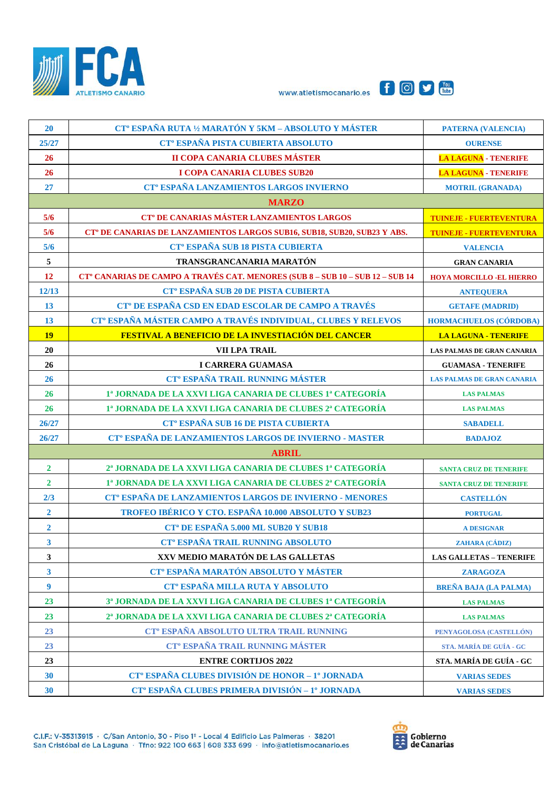





| 20                      | CT <sup>°</sup> ESPAÑA RUTA 1/2 MARATÓN Y 5KM - ABSOLUTO Y MÁSTER                    | <b>PATERNA (VALENCIA)</b>         |
|-------------------------|--------------------------------------------------------------------------------------|-----------------------------------|
| 25/27                   | CT <sup>°</sup> ESPAÑA PISTA CUBIERTA ABSOLUTO                                       | <b>OURENSE</b>                    |
| 26                      | II COPA CANARIA CLUBES MÁSTER                                                        | <b>LA LAGUNA - TENERIFE</b>       |
| 26                      | I COPA CANARIA CLUBES SUB20                                                          | <b>LA LAGUNA - TENERIFE</b>       |
| 27                      | CT <sup>°</sup> ESPAÑA LANZAMIENTOS LARGOS INVIERNO                                  | <b>MOTRIL (GRANADA)</b>           |
|                         | <b>MARZO</b>                                                                         |                                   |
| 5/6                     | CT <sup>°</sup> DE CANARIAS MÁSTER LANZAMIENTOS LARGOS                               | <b>TUINEJE - FUERTEVENTURA</b>    |
| 5/6                     | CT <sup>°</sup> DE CANARIAS DE LANZAMIENTOS LARGOS SUB16, SUB18, SUB20, SUB23 Y ABS. | <b>TUINEJE - FUERTEVENTURA</b>    |
| 5/6                     | CT <sup>°</sup> ESPAÑA SUB 18 PISTA CUBIERTA                                         | <b>VALENCIA</b>                   |
| 5                       | TRANSGRANCANARIA MARATÓN                                                             | <b>GRAN CANARIA</b>               |
| 12                      | <b>CT° CANARIAS DE CAMPO A TRAVÉS CAT. MENORES (SUB 8 - SUB 10 - SUB 12 - SUB 14</b> | <b>HOYA MORCILLO -EL HIERRO</b>   |
| 12/13                   | CT <sup>°</sup> ESPAÑA SUB 20 DE PISTA CUBIERTA                                      | <b>ANTEQUERA</b>                  |
| 13                      | CT <sup>°</sup> DE ESPAÑA CSD EN EDAD ESCOLAR DE CAMPO A TRAVÉS                      | <b>GETAFE (MADRID)</b>            |
| 13                      | CT <sup>°</sup> ESPAÑA MÁSTER CAMPO A TRAVÉS INDIVIDUAL, CLUBES Y RELEVOS            | <b>HORMACHUELOS (CÓRDOBA)</b>     |
| <b>19</b>               | <b>FESTIVAL A BENEFICIO DE LA INVESTIACIÓN DEL CANCER</b>                            | <b>LA LAGUNA - TENERIFE</b>       |
| 20                      | VII LPA TRAIL                                                                        | LAS PALMAS DE GRAN CANARIA        |
| 26                      | <b>I CARRERA GUAMASA</b>                                                             | <b>GUAMASA - TENERIFE</b>         |
| 26                      | <b>CT<sup>°</sup> ESPAÑA TRAIL RUNNING MÁSTER</b>                                    | <b>LAS PALMAS DE GRAN CANARIA</b> |
| 26                      | 1ª JORNADA DE LA XXVI LIGA CANARIA DE CLUBES 1ª CATEGORÍA                            | <b>LAS PALMAS</b>                 |
| <b>26</b>               | 1ª JORNADA DE LA XXVI LIGA CANARIA DE CLUBES 2ª CATEGORÍA                            | <b>LAS PALMAS</b>                 |
| 26/27                   | CT <sup>°</sup> ESPAÑA SUB 16 DE PISTA CUBIERTA                                      | <b>SABADELL</b>                   |
| 26/27                   | CT <sup>°</sup> ESPAÑA DE LANZAMIENTOS LARGOS DE INVIERNO - MASTER                   | <b>BADAJOZ</b>                    |
|                         | <b>ABRIL</b>                                                                         |                                   |
| $\overline{2}$          | 2ª JORNADA DE LA XXVI LIGA CANARIA DE CLUBES 1ª CATEGORÍA                            | <b>SANTA CRUZ DE TENERIFE</b>     |
| $\overline{2}$          | 1ª JORNADA DE LA XXVI LIGA CANARIA DE CLUBES 2ª CATEGORÍA                            | <b>SANTA CRUZ DE TENERIFE</b>     |
| 2/3                     | CT <sup>°</sup> ESPAÑA DE LANZAMIENTOS LARGOS DE INVIERNO - MENORES                  | <b>CASTELLÓN</b>                  |
| $\overline{2}$          | TROFEO IBÉRICO Y CTO. ESPAÑA 10.000 ABSOLUTO Y SUB23                                 | <b>PORTUGAL</b>                   |
| $\overline{\mathbf{2}}$ | CT <sup>a</sup> DE ESPAÑA 5.000 ML SUB20 Y SUB18                                     | <b>A DESIGNAR</b>                 |
| $\mathbf{3}$            | CT <sup>°</sup> ESPAÑA TRAIL RUNNING ABSOLUTO                                        | <b>ZAHARA (CÁDIZ)</b>             |
| 3                       | XXV MEDIO MARATÓN DE LAS GALLETAS                                                    | <b>LAS GALLETAS - TENERIFE</b>    |
| $\mathbf{3}$            | CT <sup>°</sup> ESPAÑA MARATÓN ABSOLUTO Y MÁSTER                                     | <b>ZARAGOZA</b>                   |
| 9                       | CT <sup>°</sup> ESPAÑA MILLA RUTA Y ABSOLUTO                                         | <b>BREÑA BAJA (LA PALMA)</b>      |
| 23                      | 3ª JORNADA DE LA XXVI LIGA CANARIA DE CLUBES 1ª CATEGORÍA                            | <b>LAS PALMAS</b>                 |
| 23                      | 2ª JORNADA DE LA XXVI LIGA CANARIA DE CLUBES 2ª CATEGORÍA                            | <b>LAS PALMAS</b>                 |
| 23                      | CT <sup>°</sup> ESPAÑA ABSOLUTO ULTRA TRAIL RUNNING                                  | PENYAGOLOSA (CASTELLÓN)           |
| 23                      | <b>CT<sup>°</sup> ESPAÑA TRAIL RUNNING MÁSTER</b>                                    | STA. MARÍA DE GUÍA - GC           |
| 23                      | <b>ENTRE CORTIJOS 2022</b>                                                           | STA. MARÍA DE GUÍA - GC           |
| 30                      | CT <sup>°</sup> ESPAÑA CLUBES DIVISIÓN DE HONOR - 1º JORNADA                         | <b>VARIAS SEDES</b>               |
| 30                      | CT <sup>°</sup> ESPAÑA CLUBES PRIMERA DIVISIÓN - 1º JORNADA                          | <b>VARIAS SEDES</b>               |

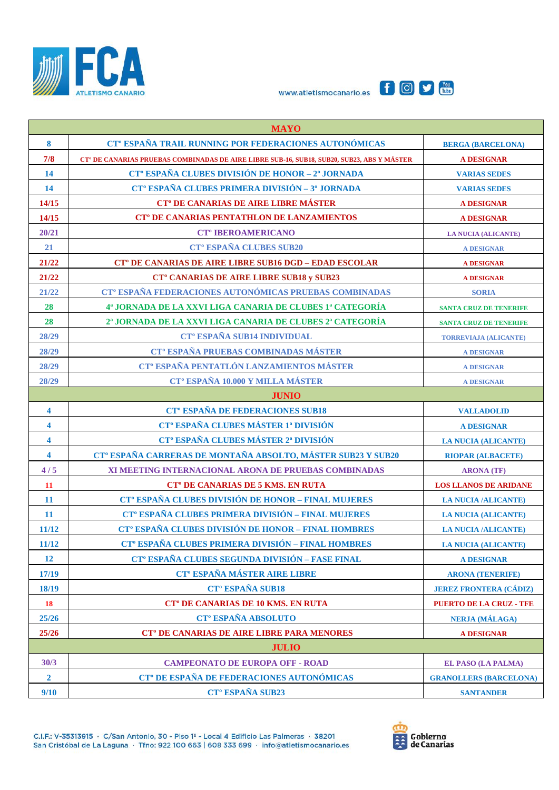





| CT <sup>°</sup> ESPAÑA TRAIL RUNNING POR FEDERACIONES AUTONÓMICAS<br>$\boldsymbol{8}$<br><b>BERGA (BARCELONA)</b><br>7/8<br>CT° DE CANARIAS PRUEBAS COMBINADAS DE AIRE LIBRE SUB-16, SUB18, SUB20, SUB23, ABS Y MÁSTER<br><b>A DESIGNAR</b><br>CT <sup>°</sup> ESPAÑA CLUBES DIVISIÓN DE HONOR - 2° JORNADA<br><b>14</b><br><b>VARIAS SEDES</b><br>CT <sup>°</sup> ESPAÑA CLUBES PRIMERA DIVISIÓN - 3 <sup>°</sup> JORNADA<br>14<br><b>VARIAS SEDES</b><br><b>CT<sup>°</sup> DE CANARIAS DE AIRE LIBRE MÁSTER</b><br>14/15<br><b>A DESIGNAR</b><br><b>CT<sup>°</sup> DE CANARIAS PENTATHLON DE LANZAMIENTOS</b><br>14/15<br><b>A DESIGNAR</b><br>20/21<br><b>CT<sup>°</sup> IBEROAMERICANO</b><br><b>LA NUCIA (ALICANTE)</b><br><b>CT<sup>°</sup> ESPAÑA CLUBES SUB20</b><br>21<br><b>A DESIGNAR</b><br>21/22<br><b>CT<sup>°</sup> DE CANARIAS DE AIRE LIBRE SUB16 DGD - EDAD ESCOLAR</b><br><b>A DESIGNAR</b><br>21/22<br><b>CT° CANARIAS DE AIRE LIBRE SUB18 y SUB23</b><br><b>A DESIGNAR</b><br>CT <sup>°</sup> ESPAÑA FEDERACIONES AUTONÓMICAS PRUEBAS COMBINADAS<br>21/22<br><b>SORIA</b><br>4ª JORNADA DE LA XXVI LIGA CANARIA DE CLUBES 1ª CATEGORÍA<br>28<br><b>SANTA CRUZ DE TENERIFE</b><br><sup>2ª</sup> JORNADA DE LA XXVI LIGA CANARIA DE CLUBES <sup>2ª</sup> CATEGORÍA<br>28<br><b>SANTA CRUZ DE TENERIFE</b><br>CT <sup>°</sup> ESPAÑA SUB14 INDIVIDUAL<br>28/29<br><b>TORREVIAJA (ALICANTE)</b><br>CT <sup>°</sup> ESPAÑA PRUEBAS COMBINADAS MÁSTER<br>28/29<br><b>A DESIGNAR</b><br>CT <sup>°</sup> ESPAÑA PENTATLÓN LANZAMIENTOS MÁSTER<br>28/29<br><b>A DESIGNAR</b><br><b>CT<sup>°</sup> ESPAÑA 10.000 Y MILLA MÁSTER</b><br>28/29<br><b>A DESIGNAR</b><br><b>JUNIO</b><br><b>CT<sup>°</sup> ESPAÑA DE FEDERACIONES SUB18</b><br>4<br><b>VALLADOLID</b><br>CT <sup>°</sup> ESPAÑA CLUBES MÁSTER 1ª DIVISIÓN<br>4<br><b>A DESIGNAR</b><br>CT <sup>°</sup> ESPAÑA CLUBES MÁSTER 2ª DIVISIÓN<br>$\overline{\mathbf{4}}$<br><b>LA NUCIA (ALICANTE)</b><br>CT <sup>°</sup> ESPAÑA CARRERAS DE MONTAÑA ABSOLTO, MÁSTER SUB23 Y SUB20<br>$\overline{\mathbf{4}}$<br><b>RIOPAR (ALBACETE)</b><br>4/5<br>XI MEETING INTERNACIONAL ARONA DE PRUEBAS COMBINADAS<br><b>ARONA</b> (TF)<br><b>CT<sup>°</sup> DE CANARIAS DE 5 KMS. EN RUTA</b><br>11<br><b>LOS LLANOS DE ARIDANE</b><br>CT <sup>°</sup> ESPAÑA CLUBES DIVISIÓN DE HONOR - FINAL MUJERES<br><b>11</b><br><b>LA NUCIA /ALICANTE)</b><br>CT <sup>°</sup> ESPAÑA CLUBES PRIMERA DIVISIÓN - FINAL MUJERES<br><b>11</b><br><b>LA NUCIA (ALICANTE)</b><br>CT <sup>°</sup> ESPAÑA CLUBES DIVISIÓN DE HONOR - FINAL HOMBRES<br>11/12<br><b>LA NUCIA /ALICANTE)</b><br>CT <sup>°</sup> ESPAÑA CLUBES PRIMERA DIVISIÓN - FINAL HOMBRES<br>11/12<br><b>LA NUCIA (ALICANTE)</b> |
|-------------------------------------------------------------------------------------------------------------------------------------------------------------------------------------------------------------------------------------------------------------------------------------------------------------------------------------------------------------------------------------------------------------------------------------------------------------------------------------------------------------------------------------------------------------------------------------------------------------------------------------------------------------------------------------------------------------------------------------------------------------------------------------------------------------------------------------------------------------------------------------------------------------------------------------------------------------------------------------------------------------------------------------------------------------------------------------------------------------------------------------------------------------------------------------------------------------------------------------------------------------------------------------------------------------------------------------------------------------------------------------------------------------------------------------------------------------------------------------------------------------------------------------------------------------------------------------------------------------------------------------------------------------------------------------------------------------------------------------------------------------------------------------------------------------------------------------------------------------------------------------------------------------------------------------------------------------------------------------------------------------------------------------------------------------------------------------------------------------------------------------------------------------------------------------------------------------------------------------------------------------------------------------------------------------------------------------------------------------------------------------------------------------------------------------------------------------------------------------------------------------------------------------------------------------------------------------------------------------------------------------------------------------------------------------------------------------------------------------------|
|                                                                                                                                                                                                                                                                                                                                                                                                                                                                                                                                                                                                                                                                                                                                                                                                                                                                                                                                                                                                                                                                                                                                                                                                                                                                                                                                                                                                                                                                                                                                                                                                                                                                                                                                                                                                                                                                                                                                                                                                                                                                                                                                                                                                                                                                                                                                                                                                                                                                                                                                                                                                                                                                                                                                           |
|                                                                                                                                                                                                                                                                                                                                                                                                                                                                                                                                                                                                                                                                                                                                                                                                                                                                                                                                                                                                                                                                                                                                                                                                                                                                                                                                                                                                                                                                                                                                                                                                                                                                                                                                                                                                                                                                                                                                                                                                                                                                                                                                                                                                                                                                                                                                                                                                                                                                                                                                                                                                                                                                                                                                           |
|                                                                                                                                                                                                                                                                                                                                                                                                                                                                                                                                                                                                                                                                                                                                                                                                                                                                                                                                                                                                                                                                                                                                                                                                                                                                                                                                                                                                                                                                                                                                                                                                                                                                                                                                                                                                                                                                                                                                                                                                                                                                                                                                                                                                                                                                                                                                                                                                                                                                                                                                                                                                                                                                                                                                           |
|                                                                                                                                                                                                                                                                                                                                                                                                                                                                                                                                                                                                                                                                                                                                                                                                                                                                                                                                                                                                                                                                                                                                                                                                                                                                                                                                                                                                                                                                                                                                                                                                                                                                                                                                                                                                                                                                                                                                                                                                                                                                                                                                                                                                                                                                                                                                                                                                                                                                                                                                                                                                                                                                                                                                           |
|                                                                                                                                                                                                                                                                                                                                                                                                                                                                                                                                                                                                                                                                                                                                                                                                                                                                                                                                                                                                                                                                                                                                                                                                                                                                                                                                                                                                                                                                                                                                                                                                                                                                                                                                                                                                                                                                                                                                                                                                                                                                                                                                                                                                                                                                                                                                                                                                                                                                                                                                                                                                                                                                                                                                           |
|                                                                                                                                                                                                                                                                                                                                                                                                                                                                                                                                                                                                                                                                                                                                                                                                                                                                                                                                                                                                                                                                                                                                                                                                                                                                                                                                                                                                                                                                                                                                                                                                                                                                                                                                                                                                                                                                                                                                                                                                                                                                                                                                                                                                                                                                                                                                                                                                                                                                                                                                                                                                                                                                                                                                           |
|                                                                                                                                                                                                                                                                                                                                                                                                                                                                                                                                                                                                                                                                                                                                                                                                                                                                                                                                                                                                                                                                                                                                                                                                                                                                                                                                                                                                                                                                                                                                                                                                                                                                                                                                                                                                                                                                                                                                                                                                                                                                                                                                                                                                                                                                                                                                                                                                                                                                                                                                                                                                                                                                                                                                           |
|                                                                                                                                                                                                                                                                                                                                                                                                                                                                                                                                                                                                                                                                                                                                                                                                                                                                                                                                                                                                                                                                                                                                                                                                                                                                                                                                                                                                                                                                                                                                                                                                                                                                                                                                                                                                                                                                                                                                                                                                                                                                                                                                                                                                                                                                                                                                                                                                                                                                                                                                                                                                                                                                                                                                           |
|                                                                                                                                                                                                                                                                                                                                                                                                                                                                                                                                                                                                                                                                                                                                                                                                                                                                                                                                                                                                                                                                                                                                                                                                                                                                                                                                                                                                                                                                                                                                                                                                                                                                                                                                                                                                                                                                                                                                                                                                                                                                                                                                                                                                                                                                                                                                                                                                                                                                                                                                                                                                                                                                                                                                           |
|                                                                                                                                                                                                                                                                                                                                                                                                                                                                                                                                                                                                                                                                                                                                                                                                                                                                                                                                                                                                                                                                                                                                                                                                                                                                                                                                                                                                                                                                                                                                                                                                                                                                                                                                                                                                                                                                                                                                                                                                                                                                                                                                                                                                                                                                                                                                                                                                                                                                                                                                                                                                                                                                                                                                           |
|                                                                                                                                                                                                                                                                                                                                                                                                                                                                                                                                                                                                                                                                                                                                                                                                                                                                                                                                                                                                                                                                                                                                                                                                                                                                                                                                                                                                                                                                                                                                                                                                                                                                                                                                                                                                                                                                                                                                                                                                                                                                                                                                                                                                                                                                                                                                                                                                                                                                                                                                                                                                                                                                                                                                           |
|                                                                                                                                                                                                                                                                                                                                                                                                                                                                                                                                                                                                                                                                                                                                                                                                                                                                                                                                                                                                                                                                                                                                                                                                                                                                                                                                                                                                                                                                                                                                                                                                                                                                                                                                                                                                                                                                                                                                                                                                                                                                                                                                                                                                                                                                                                                                                                                                                                                                                                                                                                                                                                                                                                                                           |
|                                                                                                                                                                                                                                                                                                                                                                                                                                                                                                                                                                                                                                                                                                                                                                                                                                                                                                                                                                                                                                                                                                                                                                                                                                                                                                                                                                                                                                                                                                                                                                                                                                                                                                                                                                                                                                                                                                                                                                                                                                                                                                                                                                                                                                                                                                                                                                                                                                                                                                                                                                                                                                                                                                                                           |
|                                                                                                                                                                                                                                                                                                                                                                                                                                                                                                                                                                                                                                                                                                                                                                                                                                                                                                                                                                                                                                                                                                                                                                                                                                                                                                                                                                                                                                                                                                                                                                                                                                                                                                                                                                                                                                                                                                                                                                                                                                                                                                                                                                                                                                                                                                                                                                                                                                                                                                                                                                                                                                                                                                                                           |
|                                                                                                                                                                                                                                                                                                                                                                                                                                                                                                                                                                                                                                                                                                                                                                                                                                                                                                                                                                                                                                                                                                                                                                                                                                                                                                                                                                                                                                                                                                                                                                                                                                                                                                                                                                                                                                                                                                                                                                                                                                                                                                                                                                                                                                                                                                                                                                                                                                                                                                                                                                                                                                                                                                                                           |
|                                                                                                                                                                                                                                                                                                                                                                                                                                                                                                                                                                                                                                                                                                                                                                                                                                                                                                                                                                                                                                                                                                                                                                                                                                                                                                                                                                                                                                                                                                                                                                                                                                                                                                                                                                                                                                                                                                                                                                                                                                                                                                                                                                                                                                                                                                                                                                                                                                                                                                                                                                                                                                                                                                                                           |
|                                                                                                                                                                                                                                                                                                                                                                                                                                                                                                                                                                                                                                                                                                                                                                                                                                                                                                                                                                                                                                                                                                                                                                                                                                                                                                                                                                                                                                                                                                                                                                                                                                                                                                                                                                                                                                                                                                                                                                                                                                                                                                                                                                                                                                                                                                                                                                                                                                                                                                                                                                                                                                                                                                                                           |
|                                                                                                                                                                                                                                                                                                                                                                                                                                                                                                                                                                                                                                                                                                                                                                                                                                                                                                                                                                                                                                                                                                                                                                                                                                                                                                                                                                                                                                                                                                                                                                                                                                                                                                                                                                                                                                                                                                                                                                                                                                                                                                                                                                                                                                                                                                                                                                                                                                                                                                                                                                                                                                                                                                                                           |
|                                                                                                                                                                                                                                                                                                                                                                                                                                                                                                                                                                                                                                                                                                                                                                                                                                                                                                                                                                                                                                                                                                                                                                                                                                                                                                                                                                                                                                                                                                                                                                                                                                                                                                                                                                                                                                                                                                                                                                                                                                                                                                                                                                                                                                                                                                                                                                                                                                                                                                                                                                                                                                                                                                                                           |
|                                                                                                                                                                                                                                                                                                                                                                                                                                                                                                                                                                                                                                                                                                                                                                                                                                                                                                                                                                                                                                                                                                                                                                                                                                                                                                                                                                                                                                                                                                                                                                                                                                                                                                                                                                                                                                                                                                                                                                                                                                                                                                                                                                                                                                                                                                                                                                                                                                                                                                                                                                                                                                                                                                                                           |
|                                                                                                                                                                                                                                                                                                                                                                                                                                                                                                                                                                                                                                                                                                                                                                                                                                                                                                                                                                                                                                                                                                                                                                                                                                                                                                                                                                                                                                                                                                                                                                                                                                                                                                                                                                                                                                                                                                                                                                                                                                                                                                                                                                                                                                                                                                                                                                                                                                                                                                                                                                                                                                                                                                                                           |
|                                                                                                                                                                                                                                                                                                                                                                                                                                                                                                                                                                                                                                                                                                                                                                                                                                                                                                                                                                                                                                                                                                                                                                                                                                                                                                                                                                                                                                                                                                                                                                                                                                                                                                                                                                                                                                                                                                                                                                                                                                                                                                                                                                                                                                                                                                                                                                                                                                                                                                                                                                                                                                                                                                                                           |
|                                                                                                                                                                                                                                                                                                                                                                                                                                                                                                                                                                                                                                                                                                                                                                                                                                                                                                                                                                                                                                                                                                                                                                                                                                                                                                                                                                                                                                                                                                                                                                                                                                                                                                                                                                                                                                                                                                                                                                                                                                                                                                                                                                                                                                                                                                                                                                                                                                                                                                                                                                                                                                                                                                                                           |
|                                                                                                                                                                                                                                                                                                                                                                                                                                                                                                                                                                                                                                                                                                                                                                                                                                                                                                                                                                                                                                                                                                                                                                                                                                                                                                                                                                                                                                                                                                                                                                                                                                                                                                                                                                                                                                                                                                                                                                                                                                                                                                                                                                                                                                                                                                                                                                                                                                                                                                                                                                                                                                                                                                                                           |
|                                                                                                                                                                                                                                                                                                                                                                                                                                                                                                                                                                                                                                                                                                                                                                                                                                                                                                                                                                                                                                                                                                                                                                                                                                                                                                                                                                                                                                                                                                                                                                                                                                                                                                                                                                                                                                                                                                                                                                                                                                                                                                                                                                                                                                                                                                                                                                                                                                                                                                                                                                                                                                                                                                                                           |
|                                                                                                                                                                                                                                                                                                                                                                                                                                                                                                                                                                                                                                                                                                                                                                                                                                                                                                                                                                                                                                                                                                                                                                                                                                                                                                                                                                                                                                                                                                                                                                                                                                                                                                                                                                                                                                                                                                                                                                                                                                                                                                                                                                                                                                                                                                                                                                                                                                                                                                                                                                                                                                                                                                                                           |
|                                                                                                                                                                                                                                                                                                                                                                                                                                                                                                                                                                                                                                                                                                                                                                                                                                                                                                                                                                                                                                                                                                                                                                                                                                                                                                                                                                                                                                                                                                                                                                                                                                                                                                                                                                                                                                                                                                                                                                                                                                                                                                                                                                                                                                                                                                                                                                                                                                                                                                                                                                                                                                                                                                                                           |
|                                                                                                                                                                                                                                                                                                                                                                                                                                                                                                                                                                                                                                                                                                                                                                                                                                                                                                                                                                                                                                                                                                                                                                                                                                                                                                                                                                                                                                                                                                                                                                                                                                                                                                                                                                                                                                                                                                                                                                                                                                                                                                                                                                                                                                                                                                                                                                                                                                                                                                                                                                                                                                                                                                                                           |
| CT <sup>°</sup> ESPAÑA CLUBES SEGUNDA DIVISIÓN - FASE FINAL<br>12<br><b>A DESIGNAR</b>                                                                                                                                                                                                                                                                                                                                                                                                                                                                                                                                                                                                                                                                                                                                                                                                                                                                                                                                                                                                                                                                                                                                                                                                                                                                                                                                                                                                                                                                                                                                                                                                                                                                                                                                                                                                                                                                                                                                                                                                                                                                                                                                                                                                                                                                                                                                                                                                                                                                                                                                                                                                                                                    |
| <b>CT<sup>°</sup> ESPAÑA MÁSTER AIRE LIBRE</b><br>17/19<br><b>ARONA (TENERIFE)</b>                                                                                                                                                                                                                                                                                                                                                                                                                                                                                                                                                                                                                                                                                                                                                                                                                                                                                                                                                                                                                                                                                                                                                                                                                                                                                                                                                                                                                                                                                                                                                                                                                                                                                                                                                                                                                                                                                                                                                                                                                                                                                                                                                                                                                                                                                                                                                                                                                                                                                                                                                                                                                                                        |
| <b>CT<sup>°</sup> ESPAÑA SUB18</b><br>18/19<br><b>JEREZ FRONTERA (CÁDIZ)</b>                                                                                                                                                                                                                                                                                                                                                                                                                                                                                                                                                                                                                                                                                                                                                                                                                                                                                                                                                                                                                                                                                                                                                                                                                                                                                                                                                                                                                                                                                                                                                                                                                                                                                                                                                                                                                                                                                                                                                                                                                                                                                                                                                                                                                                                                                                                                                                                                                                                                                                                                                                                                                                                              |
| <b>CT<sup>°</sup> DE CANARIAS DE 10 KMS. EN RUTA</b><br><b>18</b><br><b>PUERTO DE LA CRUZ - TFE</b>                                                                                                                                                                                                                                                                                                                                                                                                                                                                                                                                                                                                                                                                                                                                                                                                                                                                                                                                                                                                                                                                                                                                                                                                                                                                                                                                                                                                                                                                                                                                                                                                                                                                                                                                                                                                                                                                                                                                                                                                                                                                                                                                                                                                                                                                                                                                                                                                                                                                                                                                                                                                                                       |
| <b>CT<sup>°</sup> ESPAÑA ABSOLUTO</b><br>25/26<br><b>NERJA (MÁLAGA)</b>                                                                                                                                                                                                                                                                                                                                                                                                                                                                                                                                                                                                                                                                                                                                                                                                                                                                                                                                                                                                                                                                                                                                                                                                                                                                                                                                                                                                                                                                                                                                                                                                                                                                                                                                                                                                                                                                                                                                                                                                                                                                                                                                                                                                                                                                                                                                                                                                                                                                                                                                                                                                                                                                   |
| <b>CT<sup>°</sup> DE CANARIAS DE AIRE LIBRE PARA MENORES</b><br>25/26<br><b>A DESIGNAR</b>                                                                                                                                                                                                                                                                                                                                                                                                                                                                                                                                                                                                                                                                                                                                                                                                                                                                                                                                                                                                                                                                                                                                                                                                                                                                                                                                                                                                                                                                                                                                                                                                                                                                                                                                                                                                                                                                                                                                                                                                                                                                                                                                                                                                                                                                                                                                                                                                                                                                                                                                                                                                                                                |
| <b>JULIO</b>                                                                                                                                                                                                                                                                                                                                                                                                                                                                                                                                                                                                                                                                                                                                                                                                                                                                                                                                                                                                                                                                                                                                                                                                                                                                                                                                                                                                                                                                                                                                                                                                                                                                                                                                                                                                                                                                                                                                                                                                                                                                                                                                                                                                                                                                                                                                                                                                                                                                                                                                                                                                                                                                                                                              |
| 30/3<br><b>CAMPEONATO DE EUROPA OFF - ROAD</b><br><b>EL PASO (LA PALMA)</b>                                                                                                                                                                                                                                                                                                                                                                                                                                                                                                                                                                                                                                                                                                                                                                                                                                                                                                                                                                                                                                                                                                                                                                                                                                                                                                                                                                                                                                                                                                                                                                                                                                                                                                                                                                                                                                                                                                                                                                                                                                                                                                                                                                                                                                                                                                                                                                                                                                                                                                                                                                                                                                                               |
| CT <sup>°</sup> DE ESPAÑA DE FEDERACIONES AUTONÓMICAS<br>$\overline{2}$<br><b>GRANOLLERS (BARCELONA)</b>                                                                                                                                                                                                                                                                                                                                                                                                                                                                                                                                                                                                                                                                                                                                                                                                                                                                                                                                                                                                                                                                                                                                                                                                                                                                                                                                                                                                                                                                                                                                                                                                                                                                                                                                                                                                                                                                                                                                                                                                                                                                                                                                                                                                                                                                                                                                                                                                                                                                                                                                                                                                                                  |
| <b>CT<sup>°</sup> ESPAÑA SUB23</b><br>9/10<br><b>SANTANDER</b>                                                                                                                                                                                                                                                                                                                                                                                                                                                                                                                                                                                                                                                                                                                                                                                                                                                                                                                                                                                                                                                                                                                                                                                                                                                                                                                                                                                                                                                                                                                                                                                                                                                                                                                                                                                                                                                                                                                                                                                                                                                                                                                                                                                                                                                                                                                                                                                                                                                                                                                                                                                                                                                                            |